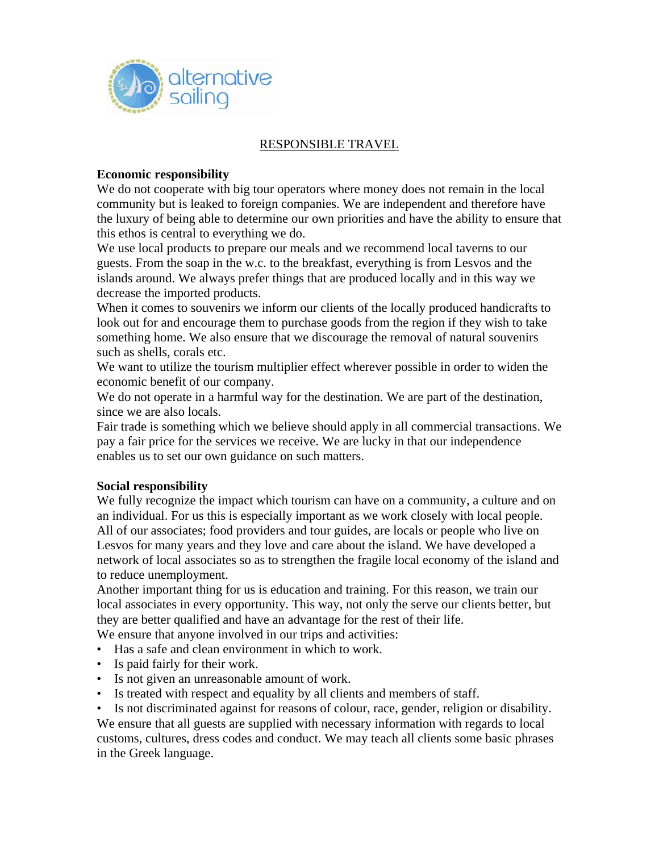

#### RESPONSIBLE TRAVEL

### **Economic responsibility**

We do not cooperate with big tour operators where money does not remain in the local community but is leaked to foreign companies. We are independent and therefore have the luxury of being able to determine our own priorities and have the ability to ensure that this ethos is central to everything we do.

We use local products to prepare our meals and we recommend local taverns to our guests. From the soap in the w.c. to the breakfast, everything is from Lesvos and the islands around. We always prefer things that are produced locally and in this way we decrease the imported products.

When it comes to souvenirs we inform our clients of the locally produced handicrafts to look out for and encourage them to purchase goods from the region if they wish to take something home. We also ensure that we discourage the removal of natural souvenirs such as shells, corals etc.

We want to utilize the tourism multiplier effect wherever possible in order to widen the economic benefit of our company.

We do not operate in a harmful way for the destination. We are part of the destination, since we are also locals.

Fair trade is something which we believe should apply in all commercial transactions. We pay a fair price for the services we receive. We are lucky in that our independence enables us to set our own guidance on such matters.

#### **Social responsibility**

We fully recognize the impact which tourism can have on a community, a culture and on an individual. For us this is especially important as we work closely with local people. All of our associates; food providers and tour guides, are locals or people who live on Lesvos for many years and they love and care about the island. We have developed a network of local associates so as to strengthen the fragile local economy of the island and to reduce unemployment.

Another important thing for us is education and training. For this reason, we train our local associates in every opportunity. This way, not only the serve our clients better, but they are better qualified and have an advantage for the rest of their life. We ensure that anyone involved in our trips and activities:

- Has a safe and clean environment in which to work.
- Is paid fairly for their work.
- Is not given an unreasonable amount of work.
- Is treated with respect and equality by all clients and members of staff.
- Is not discriminated against for reasons of colour, race, gender, religion or disability.

We ensure that all guests are supplied with necessary information with regards to local customs, cultures, dress codes and conduct. We may teach all clients some basic phrases in the Greek language.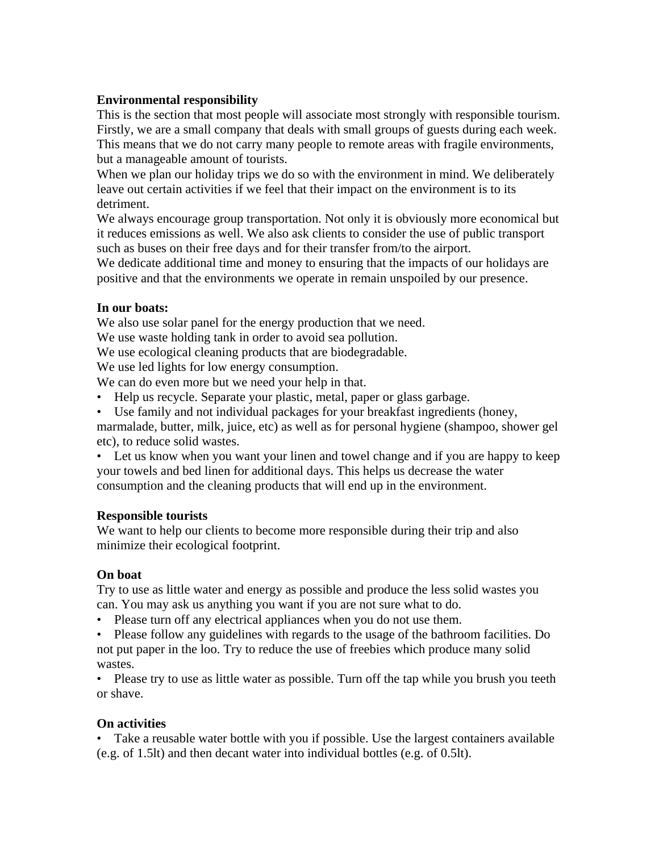# **Environmental responsibility**

This is the section that most people will associate most strongly with responsible tourism. Firstly, we are a small company that deals with small groups of guests during each week. This means that we do not carry many people to remote areas with fragile environments, but a manageable amount of tourists.

When we plan our holiday trips we do so with the environment in mind. We deliberately leave out certain activities if we feel that their impact on the environment is to its detriment.

We always encourage group transportation. Not only it is obviously more economical but it reduces emissions as well. We also ask clients to consider the use of public transport such as buses on their free days and for their transfer from/to the airport.

We dedicate additional time and money to ensuring that the impacts of our holidays are positive and that the environments we operate in remain unspoiled by our presence.

### **In our boats:**

We also use solar panel for the energy production that we need.

We use waste holding tank in order to avoid sea pollution.

We use ecological cleaning products that are biodegradable.

We use led lights for low energy consumption.

We can do even more but we need your help in that.

- Help us recycle. Separate your plastic, metal, paper or glass garbage.
- Use family and not individual packages for your breakfast ingredients (honey, marmalade, butter, milk, juice, etc) as well as for personal hygiene (shampoo, shower gel etc), to reduce solid wastes.

• Let us know when you want your linen and towel change and if you are happy to keep your towels and bed linen for additional days. This helps us decrease the water consumption and the cleaning products that will end up in the environment.

# **Responsible tourists**

We want to help our clients to become more responsible during their trip and also minimize their ecological footprint.

# **On boat**

Try to use as little water and energy as possible and produce the less solid wastes you can. You may ask us anything you want if you are not sure what to do.

- Please turn off any electrical appliances when you do not use them.
- Please follow any guidelines with regards to the usage of the bathroom facilities. Do not put paper in the loo. Try to reduce the use of freebies which produce many solid wastes.

• Please try to use as little water as possible. Turn off the tap while you brush you teeth or shave.

# **On activities**

• Take a reusable water bottle with you if possible. Use the largest containers available (e.g. of 1.5lt) and then decant water into individual bottles (e.g. of 0.5lt).